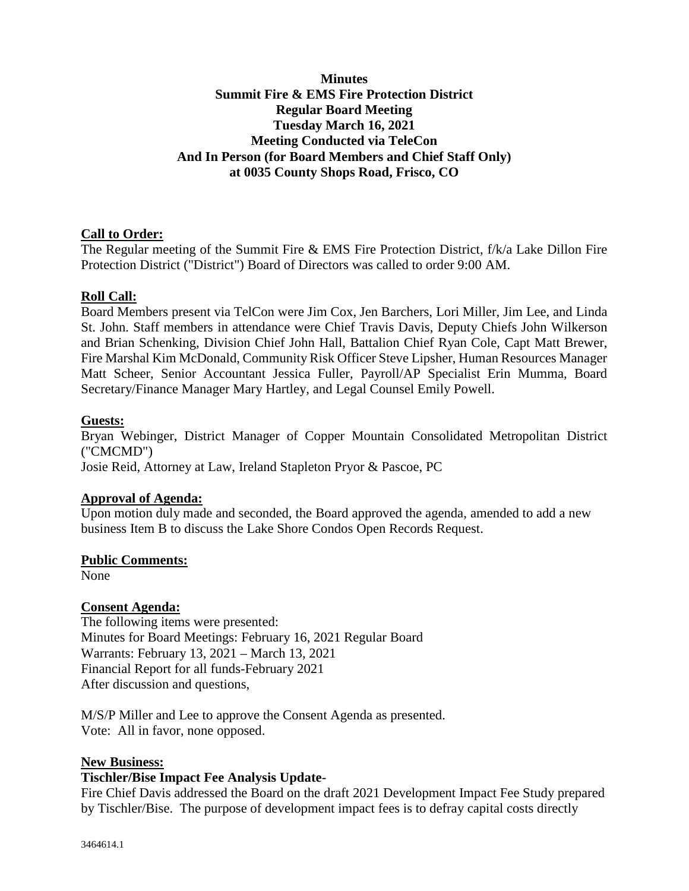## **Minutes Summit Fire & EMS Fire Protection District Regular Board Meeting Tuesday March 16, 2021 Meeting Conducted via TeleCon And In Person (for Board Members and Chief Staff Only) at 0035 County Shops Road, Frisco, CO**

## **Call to Order:**

The Regular meeting of the Summit Fire & EMS Fire Protection District, f/k/a Lake Dillon Fire Protection District ("District") Board of Directors was called to order 9:00 AM.

## **Roll Call:**

Board Members present via TelCon were Jim Cox, Jen Barchers, Lori Miller, Jim Lee, and Linda St. John. Staff members in attendance were Chief Travis Davis, Deputy Chiefs John Wilkerson and Brian Schenking, Division Chief John Hall, Battalion Chief Ryan Cole, Capt Matt Brewer, Fire Marshal Kim McDonald, Community Risk Officer Steve Lipsher, Human Resources Manager Matt Scheer, Senior Accountant Jessica Fuller, Payroll/AP Specialist Erin Mumma, Board Secretary/Finance Manager Mary Hartley, and Legal Counsel Emily Powell.

#### **Guests:**

Bryan Webinger, District Manager of Copper Mountain Consolidated Metropolitan District ("CMCMD")

Josie Reid, Attorney at Law, Ireland Stapleton Pryor & Pascoe, PC

#### **Approval of Agenda:**

Upon motion duly made and seconded, the Board approved the agenda, amended to add a new business Item B to discuss the Lake Shore Condos Open Records Request.

#### **Public Comments:**

None

#### **Consent Agenda:**

The following items were presented: Minutes for Board Meetings: February 16, 2021 Regular Board Warrants: February 13, 2021 – March 13, 2021 Financial Report for all funds-February 2021 After discussion and questions,

M/S/P Miller and Lee to approve the Consent Agenda as presented. Vote: All in favor, none opposed.

#### **New Business:**

#### **Tischler/Bise Impact Fee Analysis Update-**

Fire Chief Davis addressed the Board on the draft 2021 Development Impact Fee Study prepared by Tischler/Bise. The purpose of development impact fees is to defray capital costs directly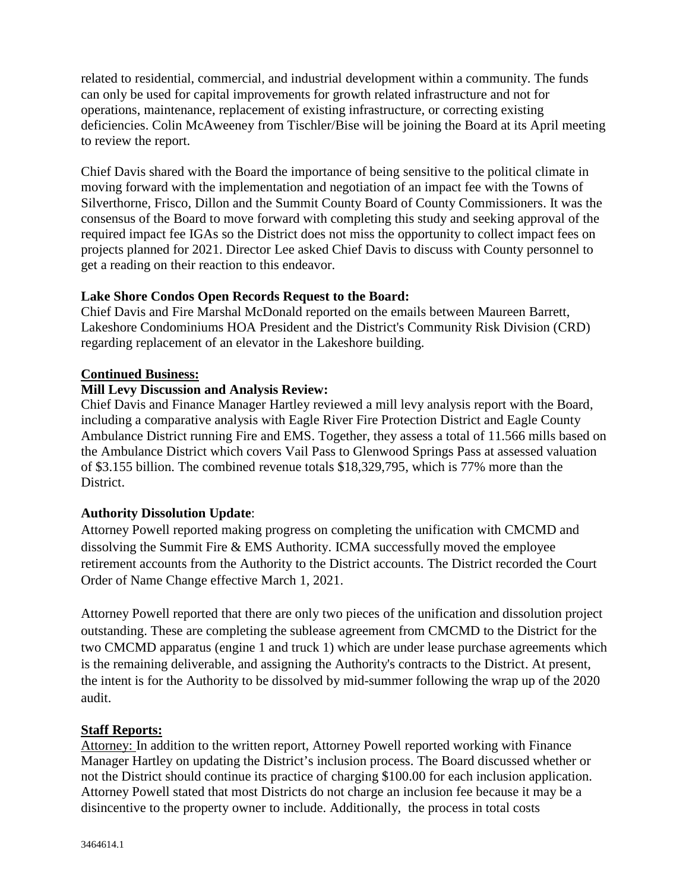related to residential, commercial, and industrial development within a community. The funds can only be used for capital improvements for growth related infrastructure and not for operations, maintenance, replacement of existing infrastructure, or correcting existing deficiencies. Colin McAweeney from Tischler/Bise will be joining the Board at its April meeting to review the report.

Chief Davis shared with the Board the importance of being sensitive to the political climate in moving forward with the implementation and negotiation of an impact fee with the Towns of Silverthorne, Frisco, Dillon and the Summit County Board of County Commissioners. It was the consensus of the Board to move forward with completing this study and seeking approval of the required impact fee IGAs so the District does not miss the opportunity to collect impact fees on projects planned for 2021. Director Lee asked Chief Davis to discuss with County personnel to get a reading on their reaction to this endeavor.

#### **Lake Shore Condos Open Records Request to the Board:**

Chief Davis and Fire Marshal McDonald reported on the emails between Maureen Barrett, Lakeshore Condominiums HOA President and the District's Community Risk Division (CRD) regarding replacement of an elevator in the Lakeshore building.

#### **Continued Business:**

# **Mill Levy Discussion and Analysis Review:**

Chief Davis and Finance Manager Hartley reviewed a mill levy analysis report with the Board, including a comparative analysis with Eagle River Fire Protection District and Eagle County Ambulance District running Fire and EMS. Together, they assess a total of 11.566 mills based on the Ambulance District which covers Vail Pass to Glenwood Springs Pass at assessed valuation of \$3.155 billion. The combined revenue totals \$18,329,795, which is 77% more than the District.

## **Authority Dissolution Update**:

Attorney Powell reported making progress on completing the unification with CMCMD and dissolving the Summit Fire & EMS Authority. ICMA successfully moved the employee retirement accounts from the Authority to the District accounts. The District recorded the Court Order of Name Change effective March 1, 2021.

Attorney Powell reported that there are only two pieces of the unification and dissolution project outstanding. These are completing the sublease agreement from CMCMD to the District for the two CMCMD apparatus (engine 1 and truck 1) which are under lease purchase agreements which is the remaining deliverable, and assigning the Authority's contracts to the District. At present, the intent is for the Authority to be dissolved by mid-summer following the wrap up of the 2020 audit.

#### **Staff Reports:**

Attorney: In addition to the written report, Attorney Powell reported working with Finance Manager Hartley on updating the District's inclusion process. The Board discussed whether or not the District should continue its practice of charging \$100.00 for each inclusion application. Attorney Powell stated that most Districts do not charge an inclusion fee because it may be a disincentive to the property owner to include. Additionally, the process in total costs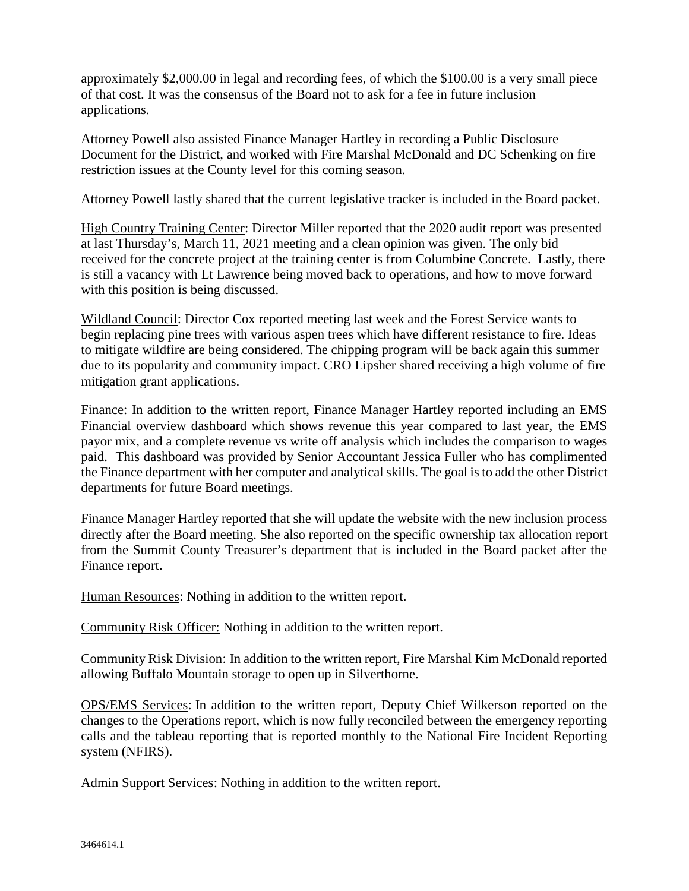approximately \$2,000.00 in legal and recording fees, of which the \$100.00 is a very small piece of that cost. It was the consensus of the Board not to ask for a fee in future inclusion applications.

Attorney Powell also assisted Finance Manager Hartley in recording a Public Disclosure Document for the District, and worked with Fire Marshal McDonald and DC Schenking on fire restriction issues at the County level for this coming season.

Attorney Powell lastly shared that the current legislative tracker is included in the Board packet.

High Country Training Center: Director Miller reported that the 2020 audit report was presented at last Thursday's, March 11, 2021 meeting and a clean opinion was given. The only bid received for the concrete project at the training center is from Columbine Concrete. Lastly, there is still a vacancy with Lt Lawrence being moved back to operations, and how to move forward with this position is being discussed.

Wildland Council: Director Cox reported meeting last week and the Forest Service wants to begin replacing pine trees with various aspen trees which have different resistance to fire. Ideas to mitigate wildfire are being considered. The chipping program will be back again this summer due to its popularity and community impact. CRO Lipsher shared receiving a high volume of fire mitigation grant applications.

Finance: In addition to the written report, Finance Manager Hartley reported including an EMS Financial overview dashboard which shows revenue this year compared to last year, the EMS payor mix, and a complete revenue vs write off analysis which includes the comparison to wages paid. This dashboard was provided by Senior Accountant Jessica Fuller who has complimented the Finance department with her computer and analytical skills. The goal is to add the other District departments for future Board meetings.

Finance Manager Hartley reported that she will update the website with the new inclusion process directly after the Board meeting. She also reported on the specific ownership tax allocation report from the Summit County Treasurer's department that is included in the Board packet after the Finance report.

Human Resources: Nothing in addition to the written report.

Community Risk Officer: Nothing in addition to the written report.

Community Risk Division: In addition to the written report, Fire Marshal Kim McDonald reported allowing Buffalo Mountain storage to open up in Silverthorne.

OPS/EMS Services: In addition to the written report, Deputy Chief Wilkerson reported on the changes to the Operations report, which is now fully reconciled between the emergency reporting calls and the tableau reporting that is reported monthly to the National Fire Incident Reporting system (NFIRS).

Admin Support Services: Nothing in addition to the written report.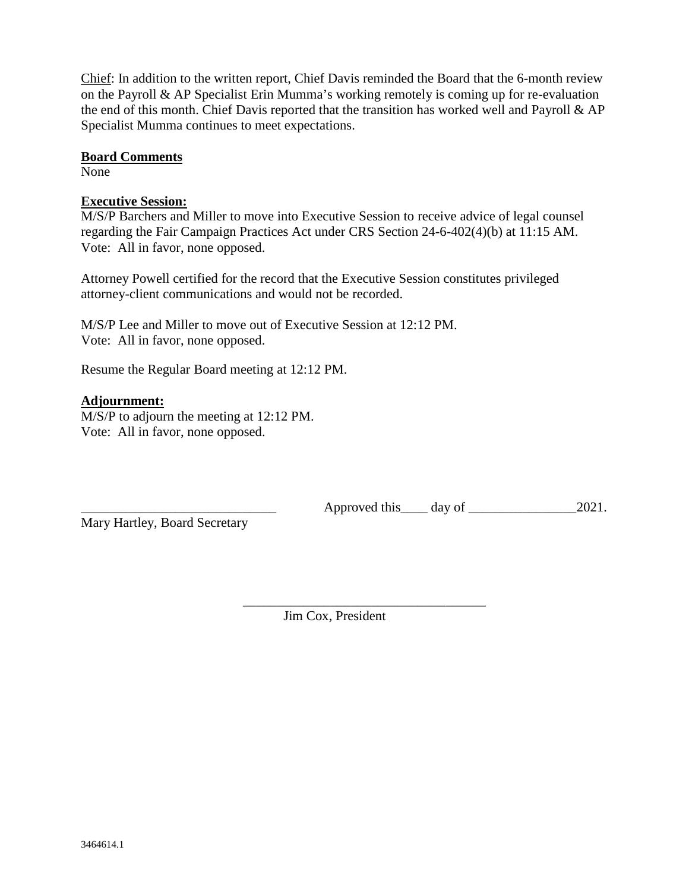Chief: In addition to the written report, Chief Davis reminded the Board that the 6-month review on the Payroll & AP Specialist Erin Mumma's working remotely is coming up for re-evaluation the end of this month. Chief Davis reported that the transition has worked well and Payroll & AP Specialist Mumma continues to meet expectations.

#### **Board Comments**

None

### **Executive Session:**

M/S/P Barchers and Miller to move into Executive Session to receive advice of legal counsel regarding the Fair Campaign Practices Act under CRS Section 24-6-402(4)(b) at 11:15 AM. Vote: All in favor, none opposed.

Attorney Powell certified for the record that the Executive Session constitutes privileged attorney-client communications and would not be recorded.

M/S/P Lee and Miller to move out of Executive Session at 12:12 PM. Vote: All in favor, none opposed.

Resume the Regular Board meeting at 12:12 PM.

## **Adjournment:**

M/S/P to adjourn the meeting at 12:12 PM. Vote: All in favor, none opposed.

\_\_\_\_\_\_\_\_\_\_\_\_\_\_\_\_\_\_\_\_\_\_\_\_\_\_\_\_\_ Approved this\_\_\_\_ day of \_\_\_\_\_\_\_\_\_\_\_\_\_\_\_\_2021.

Mary Hartley, Board Secretary

\_\_\_\_\_\_\_\_\_\_\_\_\_\_\_\_\_\_\_\_\_\_\_\_\_\_\_\_\_\_\_\_\_\_\_\_ Jim Cox, President